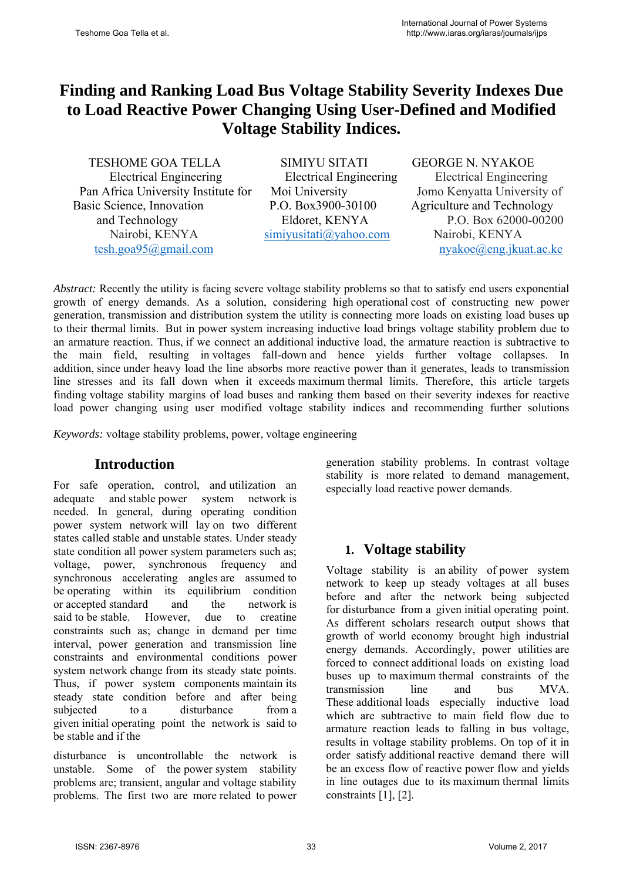# **Finding and Ranking Load Bus Voltage Stability Severity Indexes Due to Load Reactive Power Changing Using User-Defined and Modified Voltage Stability Indices.**

TESHOME GOA TELLA SIMIYU SITATI GEORGE N. NYAKOE Electrical Engineering Electrical Engineering Electrical Engineering Pan Africa University Institute for Moi University Jomo Kenyatta University of Basic Science, Innovation P.O. Box3900-30100 Agriculture and Technology and Technology Eldoret, KENYA P.O. Box 62000-00200 Nairobi, KENYA simiyusitati@yahoo.com Nairobi, KENYA tesh.goa95@gmail.com nyakoe@eng.jkuat.ac.ke

*Abstract:* Recently the utility is facing severe voltage stability problems so that to satisfy end users exponential growth of energy demands. As a solution, considering high operational cost of constructing new power generation, transmission and distribution system the utility is connecting more loads on existing load buses up to their thermal limits. But in power system increasing inductive load brings voltage stability problem due to an armature reaction. Thus, if we connect an additional inductive load, the armature reaction is subtractive to the main field, resulting in voltages fall-down and hence yields further voltage collapses. In addition, since under heavy load the line absorbs more reactive power than it generates, leads to transmission line stresses and its fall down when it exceeds maximum thermal limits. Therefore, this article targets finding voltage stability margins of load buses and ranking them based on their severity indexes for reactive load power changing using user modified voltage stability indices and recommending further solutions

*Keywords:* voltage stability problems, power, voltage engineering

# **Introduction**

For safe operation, control, and utilization an adequate and stable power system network is needed. In general, during operating condition power system network will lay on two different states called stable and unstable states. Under steady state condition all power system parameters such as; voltage, power, synchronous frequency and synchronous accelerating angles are assumed to be operating within its equilibrium condition or accepted standard and the network is said to be stable. However, due to creatine constraints such as; change in demand per time interval, power generation and transmission line constraints and environmental conditions power system network change from its steady state points. Thus, if power system components maintain its steady state condition before and after being subjected to a disturbance from a given initial operating point the network is said to be stable and if the

disturbance is uncontrollable the network is unstable. Some of the power system stability problems are; transient, angular and voltage stability problems. The first two are more related to power generation stability problems. In contrast voltage stability is more related to demand management, especially load reactive power demands.

# **1. Voltage stability**

Voltage stability is an ability of power system network to keep up steady voltages at all buses before and after the network being subjected for disturbance from a given initial operating point. As different scholars research output shows that growth of world economy brought high industrial energy demands. Accordingly, power utilities are forced to connect additional loads on existing load buses up to maximum thermal constraints of the transmission line and bus MVA. These additional loads especially inductive load which are subtractive to main field flow due to armature reaction leads to falling in bus voltage, results in voltage stability problems. On top of it in order satisfy additional reactive demand there will be an excess flow of reactive power flow and yields in line outages due to its maximum thermal limits constraints [1], [2].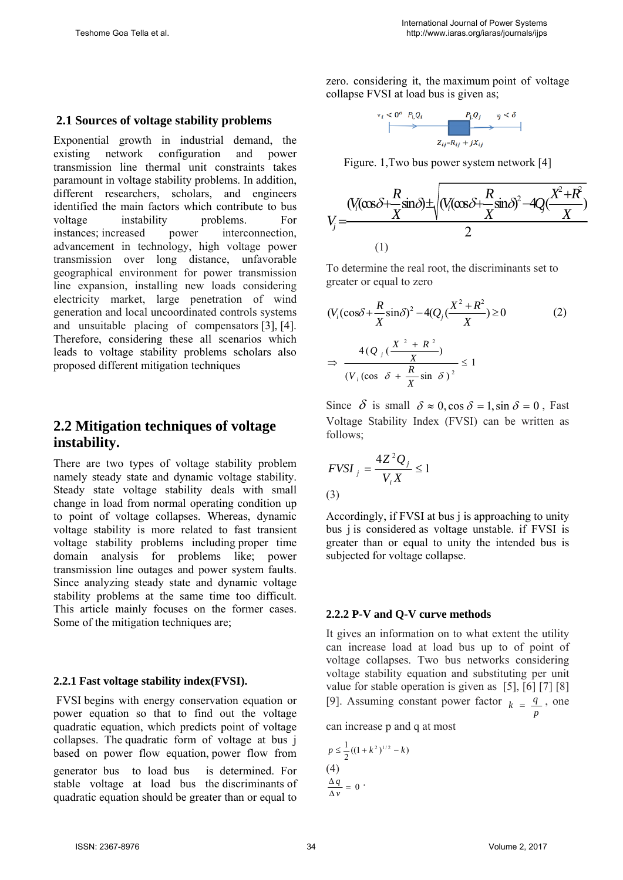## **2.1 Sources of voltage stability problems**

Exponential growth in industrial demand, the existing network configuration and power transmission line thermal unit constraints takes paramount in voltage stability problems. In addition, different researchers, scholars, and engineers identified the main factors which contribute to bus voltage instability problems. For instances; increased power interconnection, advancement in technology, high voltage power transmission over long distance, unfavorable geographical environment for power transmission line expansion, installing new loads considering electricity market, large penetration of wind generation and local uncoordinated controls systems and unsuitable placing of compensators [3], [4]. Therefore, considering these all scenarios which leads to voltage stability problems scholars also proposed different mitigation techniques

# **2.2 Mitigation techniques of voltage instability.**

There are two types of voltage stability problem namely steady state and dynamic voltage stability. Steady state voltage stability deals with small change in load from normal operating condition up to point of voltage collapses. Whereas, dynamic voltage stability is more related to fast transient voltage stability problems including proper time domain analysis for problems like; power transmission line outages and power system faults. Since analyzing steady state and dynamic voltage stability problems at the same time too difficult. This article mainly focuses on the former cases. Some of the mitigation techniques are;

#### **2.2.1 Fast voltage stability index(FVSI).**

 FVSI begins with energy conservation equation or power equation so that to find out the voltage quadratic equation, which predicts point of voltage collapses. The quadratic form of voltage at bus j based on power flow equation, power flow from generator bus to load bus is determined. For stable voltage at load bus the discriminants of quadratic equation should be greater than or equal to zero. considering it, the maximum point of voltage collapse FVSI at load bus is given as;

$$
\longmapsto \frac{P_{i,}Q_{j}}{Z_{ij}-R_{ij}+jX_{ij}}
$$

Figure. 1,Two bus power system network [4]

$$
V_j = \frac{(V_i(\cos\delta + \frac{R}{X}\sin\delta) \pm \sqrt{(V_i(\cos\delta + \frac{R}{X}\sin\delta)^2 - 4Q(\frac{X^2 + R^2}{X})})}{2}
$$
\n(1)

To determine the real root, the discriminants set to greater or equal to zero

$$
(V_i(\cos\delta + \frac{R}{X}\sin\delta)^2 - 4(Q_j(\frac{X^2 + R^2}{X}) \ge 0
$$
\n
$$
\Rightarrow \frac{4(Q_j(\frac{X^2 + R^2}{X}))}{(V_i(\cos \delta + \frac{R}{X}\sin \delta)^2} \le 1
$$
\n(2)

Since  $\delta$  is small  $\delta \approx 0$ , cos  $\delta = 1$ , sin  $\delta = 0$ , Fast Voltage Stability Index (FVSI) can be written as follows;

$$
FVSI_j = \frac{4Z^2 Q_j}{V_i X} \le 1
$$
\n(3)

Accordingly, if FVSI at bus j is approaching to unity bus j is considered as voltage unstable. if FVSI is greater than or equal to unity the intended bus is subjected for voltage collapse.

#### **2.2.2 P-V and Q-V curve methods**

It gives an information on to what extent the utility can increase load at load bus up to of point of voltage collapses. Two bus networks considering voltage stability equation and substituting per unit value for stable operation is given as [5], [6] [7] [8] [9]. Assuming constant power factor  $k = \frac{q}{p}$ , one

can increase p and q at most

$$
p \le \frac{1}{2}((1+k^2)^{1/2} - k)
$$
  
(4)  

$$
\frac{\Delta q}{\Delta v} = 0
$$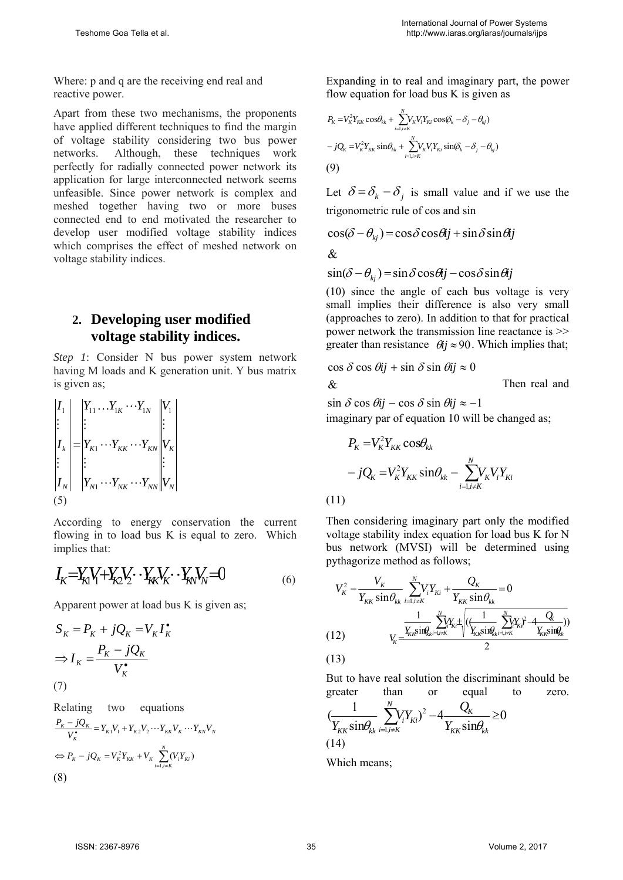Where: p and q are the receiving end real and reactive power.

Apart from these two mechanisms, the proponents have applied different techniques to find the margin of voltage stability considering two bus power networks. Although, these techniques work perfectly for radially connected power network its application for large interconnected network seems unfeasible. Since power network is complex and meshed together having two or more buses connected end to end motivated the researcher to develop user modified voltage stability indices which comprises the effect of meshed network on voltage stability indices.

# **2. Developing user modified voltage stability indices.**

*Step 1*: Consider N bus power system network having M loads and K generation unit. Y bus matrix is given as;

$$
\begin{vmatrix} I_1 \\ \vdots \\ I_k \\ \vdots \\ I_N \end{vmatrix} = \begin{vmatrix} Y_{11} \dots Y_{1K} \dots Y_{1N} \\ \vdots \\ Y_{K1} \dots Y_{KK} \dots Y_{KN} \end{vmatrix} \begin{vmatrix} V_1 \\ \vdots \\ V_K \end{vmatrix}
$$

$$
\begin{vmatrix} I_N \\ \vdots \\ I_N \end{vmatrix} = \begin{vmatrix} Y_{11} \dots Y_{KK} \dots Y_{KN} \\ \vdots \\ Y_{N1} \dots Y_{NK} \dots Y_{NN} \end{vmatrix} \begin{vmatrix} V_1 \\ \vdots \\ V_N \end{vmatrix}
$$

According to energy conservation the current flowing in to load bus K is equal to zero. Which implies that:

$$
I_K = Y_{K1}Y_1 + Y_{K2}Y_2 \cdot Y_{K1}Y_K \cdot Y_{K2}Y_N = 0
$$
\n(6)

Apparent power at load bus K is given as;

$$
S_K = P_K + jQ_K = V_K I_K^{\bullet}
$$
  
\n
$$
\Rightarrow I_K = \frac{P_K - jQ_K}{V_K^{\bullet}}
$$
  
\n(7)

Relating two equations

$$
\frac{P_K - jQ_K}{V_K^{\bullet}} = Y_{K1}V_1 + Y_{K2}V_2 \cdots Y_{KK}V_K \cdots Y_{KN}V_N
$$
  
\n
$$
\Leftrightarrow P_K - jQ_K = V_K^2 Y_{KK} + V_K \sum_{i=1, i \neq K}^{N} (V_i Y_{Ki})
$$
  
\n(8)

Expanding in to real and imaginary part, the power flow equation for load bus K is given as

$$
P_K = V_K^2 Y_{KK} \cos \theta_{kk} + \sum_{i=1, i \neq K}^{N} V_K V_i Y_{Ki} \cos(\delta_k - \delta_j - \theta_{kj})
$$
  
-  $jQ_K = V_K^2 Y_{KK} \sin \theta_{kk} + \sum_{i=1, i \neq K}^{N} V_K V_i Y_{Ki} \sin(\delta_k - \delta_j - \theta_{kj})$   
(9)

Let  $\delta = \delta_k - \delta_j$  is small value and if we use the trigonometric rule of cos and sin

$$
\cos(\delta - \theta_{kj}) = \cos\delta\cos\theta(j + \sin\delta\sin\theta(j
$$
  
&

 $\sin(\delta - \theta_{kj}) = \sin\delta\cos\theta$  *ij*  $-\cos\delta\sin\theta$  *ij* 

(10) since the angle of each bus voltage is very small implies their difference is also very small (approaches to zero). In addition to that for practical power network the transmission line reactance is >> greater than resistance  $\theta_{ij} \approx 90$ . Which implies that;

$$
\cos \delta \cos \theta i j + \sin \delta \sin \theta i j \approx 0
$$
  
& Then real and

 $\sin \delta \cos \theta$ *ij* –  $\cos \delta \sin \theta$ *ij*  $\approx -1$ 

imaginary par of equation 10 will be changed as;

$$
P_K = V_K^2 Y_{KK} \cos \theta_{kk}
$$
  
-  $jQ_K = V_K^2 Y_{KK} \sin \theta_{kk} - \sum_{i=l, i \neq K}^{N} V_i Y_{Ki}$   
(11)

Then considering imaginary part only the modified voltage stability index equation for load bus K for N bus network (MVSI) will be determined using pythagorize method as follows;

$$
V_K^2 - \frac{V_K}{Y_{KK}\sin\theta_{kk}} \sum_{i=1, i\neq K}^{N} V_i Y_{Ki} + \frac{Q_K}{Y_{KK}\sin\theta_{kk}} = 0
$$
  
(12)  

$$
V_K = \frac{\frac{1}{Y_{KK}\sin\theta_{kk}} \sum_{i=1, i\neq K}^{N} Y_{Ki} + \sqrt{(\frac{1}{Y_{KK}\sin\theta_{kk}} \sum_{i=1, i\neq K}^{N} Y_{Ki})^2 - 4\frac{Q_K}{Y_{KK}\sin\theta_{kk}}})}{2}
$$
  
(13)

But to have real solution the discriminant should be greater than or equal to zero.

$$
\left(\frac{1}{Y_{KK}\sin\theta_{kk}}\sum_{i=1,i\neq K}^{N}Y_{Ki}\right)^2 - 4\frac{Q_K}{Y_{KK}\sin\theta_{kk}} \ge 0
$$
\n(14)

Which means;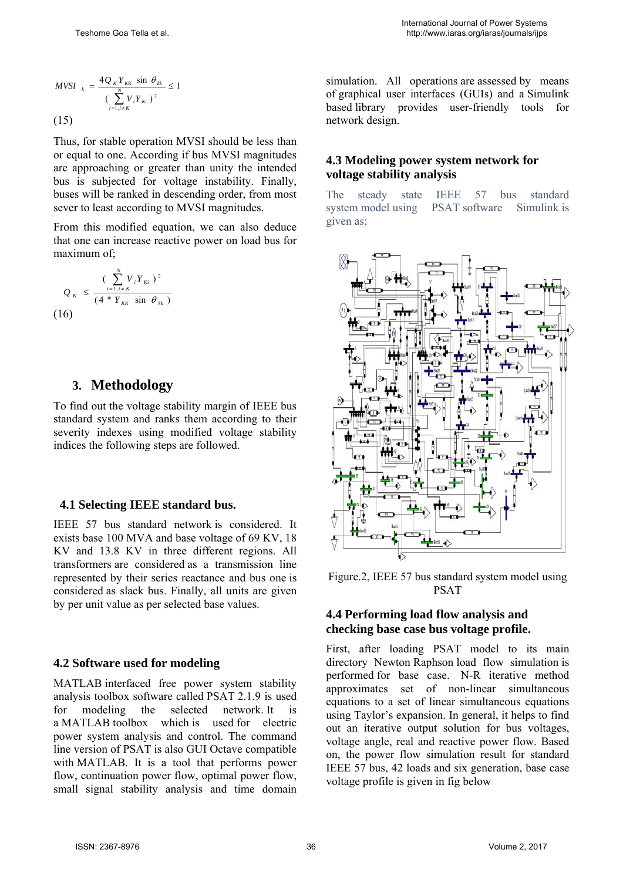,1

(15)

Thus, for stable operation MVSI should be less than or equal to one. According if bus MVSI magnitudes are approaching or greater than unity the intended bus is subjected for voltage instability. Finally, buses will be ranked in descending order, from most sever to least according to MVSI magnitudes.

From this modified equation, we can also deduce that one can increase reactive power on load bus for maximum of;

$$
Q_{\kappa} \le \frac{(\sum_{i=1, i \neq K}^{N} V_{i} Y_{\kappa i})^{2}}{(4 * Y_{\kappa \kappa} \sin \theta_{\kappa})}
$$
\n(16)

### **3. Methodology**

To find out the voltage stability margin of IEEE bus standard system and ranks them according to their severity indexes using modified voltage stability indices the following steps are followed.

#### **4.1 Selecting IEEE standard bus.**

IEEE 57 bus standard network is considered. It exists base 100 MVA and base voltage of 69 KV, 18 KV and 13.8 KV in three different regions. All transformers are considered as a transmission line represented by their series reactance and bus one is considered as slack bus. Finally, all units are given by per unit value as per selected base values.

#### **4.2 Software used for modeling**

MATLAB interfaced free power system stability analysis toolbox software called PSAT 2.1.9 is used for modeling the selected network. It is a MATLAB toolbox which is used for electric power system analysis and control. The command line version of PSAT is also GUI Octave compatible with MATLAB. It is a tool that performs power flow, continuation power flow, optimal power flow, small signal stability analysis and time domain simulation. All operations are assessed by means of graphical user interfaces (GUIs) and a Simulink based library provides user-friendly tools for network design.

### **4.3 Modeling power system network for voltage stability analysis**

The steady state IEEE 57 bus standard system model using PSAT software Simulink is given as;



Figure.2, IEEE 57 bus standard system model using PSAT

#### **4.4 Performing load flow analysis and checking base case bus voltage profile.**

First, after loading PSAT model to its main directory Newton Raphson load flow simulation is performed for base case. N-R iterative method approximates set of non-linear simultaneous equations to a set of linear simultaneous equations using Taylor's expansion. In general, it helps to find out an iterative output solution for bus voltages, voltage angle, real and reactive power flow. Based on, the power flow simulation result for standard IEEE 57 bus, 42 loads and six generation, base case voltage profile is given in fig below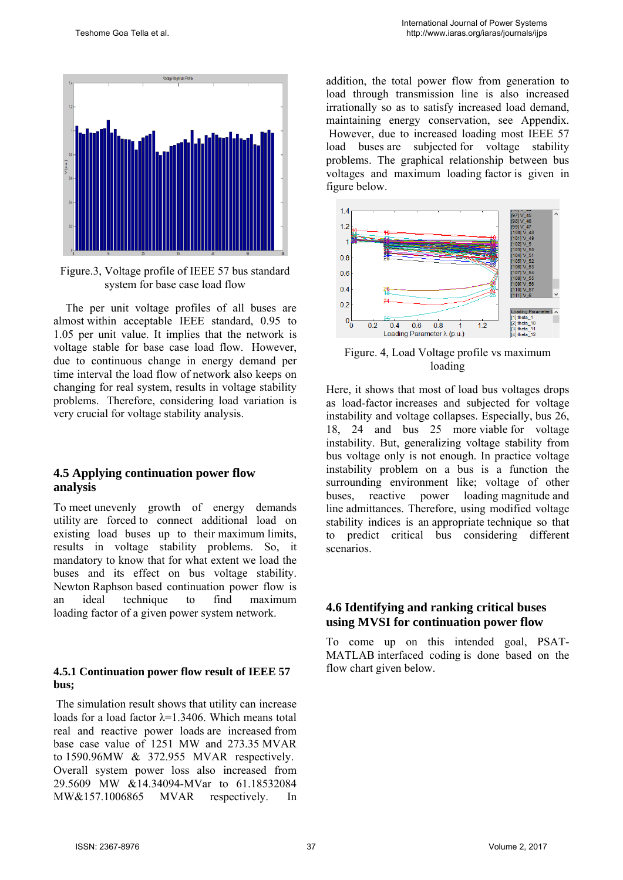

Figure.3, Voltage profile of IEEE 57 bus standard system for base case load flow

 The per unit voltage profiles of all buses are almost within acceptable IEEE standard, 0.95 to 1.05 per unit value. It implies that the network is voltage stable for base case load flow. However, due to continuous change in energy demand per time interval the load flow of network also keeps on changing for real system, results in voltage stability problems. Therefore, considering load variation is very crucial for voltage stability analysis.

## **4.5 Applying continuation power flow analysis**

To meet unevenly growth of energy demands utility are forced to connect additional load on existing load buses up to their maximum limits, results in voltage stability problems. So, it mandatory to know that for what extent we load the buses and its effect on bus voltage stability. Newton Raphson based continuation power flow is an ideal technique to find maximum loading factor of a given power system network.

#### **4.5.1 Continuation power flow result of IEEE 57 bus;**

 The simulation result shows that utility can increase loads for a load factor  $\lambda$ =1.3406. Which means total real and reactive power loads are increased from base case value of 1251 MW and 273.35 MVAR to 1590.96MW & 372.955 MVAR respectively. Overall system power loss also increased from 29.5609 MW &14.34094-MVar to 61.18532084 MW&157.1006865 MVAR respectively. In addition, the total power flow from generation to load through transmission line is also increased irrationally so as to satisfy increased load demand, maintaining energy conservation, see Appendix. However, due to increased loading most IEEE 57 load buses are subjected for voltage stability problems. The graphical relationship between bus voltages and maximum loading factor is given in figure below.



Figure. 4, Load Voltage profile vs maximum loading

Here, it shows that most of load bus voltages drops as load-factor increases and subjected for voltage instability and voltage collapses. Especially, bus 26, 18, 24 and bus 25 more viable for voltage instability. But, generalizing voltage stability from bus voltage only is not enough. In practice voltage instability problem on a bus is a function the surrounding environment like; voltage of other buses, reactive power loading magnitude and line admittances. Therefore, using modified voltage stability indices is an appropriate technique so that to predict critical bus considering different scenarios.

## **4.6 Identifying and ranking critical buses using MVSI for continuation power flow**

To come up on this intended goal, PSAT-MATLAB interfaced coding is done based on the flow chart given below.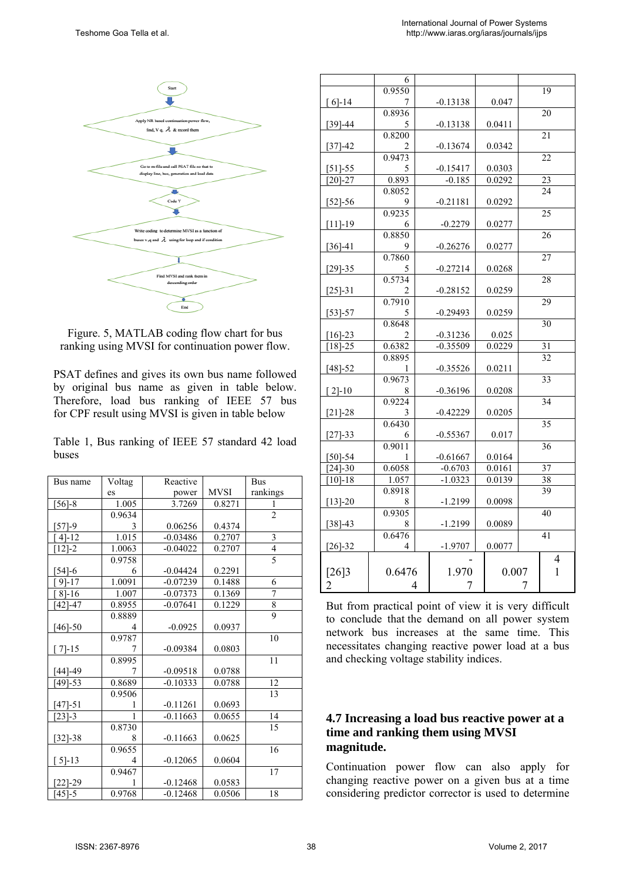

Figure. 5, MATLAB coding flow chart for bus ranking using MVSI for continuation power flow.

PSAT defines and gives its own bus name followed by original bus name as given in table below. Therefore, load bus ranking of IEEE 57 bus for CPF result using MVSI is given in table below

| Table 1, Bus ranking of IEEE 57 standard 42 load |  |  |  |  |
|--------------------------------------------------|--|--|--|--|
| buses                                            |  |  |  |  |

| Bus name               | Voltag       | Reactive   |             | <b>Bus</b>              |
|------------------------|--------------|------------|-------------|-------------------------|
|                        | es           | power      | <b>MVSI</b> | rankings                |
| $[56] - 8$             | 1.005        | 3.7269     | 0.8271      |                         |
|                        | 0.9634       |            |             | $\overline{2}$          |
| $[57]-9$               | 3            | 0.06256    | 0.4374      |                         |
| $4 - 12$               | 1.015        | $-0.03486$ | 0.2707      | 3                       |
| $[12]-2$               | 1.0063       | $-0.04022$ | 0.2707      | $\overline{\mathbf{4}}$ |
|                        | 0.9758       |            |             | $\overline{5}$          |
| $[54]$ -6              | 6            | $-0.04424$ | 0.2291      |                         |
| $9 - 17$               | 1.0091       | $-0.07239$ | 0.1488      | 6                       |
| $8 - 16$               | 1.007        | $-0.07373$ | 0.1369      | $\overline{7}$          |
| $[42] - 47$            | 0.8955       | $-0.07641$ | 0.1229      | 8                       |
|                        | 0.8889       |            |             | $\overline{9}$          |
| $[46]$ -50             | 4            | $-0.0925$  | 0.0937      |                         |
|                        | 0.9787       |            |             | 10                      |
| $[7]-15$               | 7            | $-0.09384$ | 0.0803      |                         |
|                        | 0.8995       |            |             | 11                      |
| [44]-49                | 7            | $-0.09518$ | 0.0788      |                         |
| $[49] - 53$            | 0.8689       | $-0.10333$ | 0.0788      | 12                      |
|                        | 0.9506       |            |             | 13                      |
| [47]-51                | 1            | $-0.11261$ | 0.0693      |                         |
| $[23]-3$               | $\mathbf{1}$ | $-0.11663$ | 0.0655      | 14                      |
|                        | 0.8730       |            |             | 15                      |
| $[32]$ -38             | 8            | $-0.11663$ | 0.0625      |                         |
|                        | 0.9655       |            |             | 16                      |
| $\lceil 5 \rceil - 13$ | 4            | $-0.12065$ | 0.0604      |                         |
|                        | 0.9467       |            |             | 17                      |
| $22$ ]-29              |              | $-0.12468$ | 0.0583      |                         |
| $-45 - 5$              | 0.9768       | $-0.12468$ | 0.0506      | 18                      |

|             | 6           |            |        |                 |
|-------------|-------------|------------|--------|-----------------|
|             | 0.9550      |            |        | 19              |
| $[6]-14$    | 7           | $-0.13138$ | 0.047  |                 |
|             | 0.8936      |            |        | 20              |
| $[39] - 44$ | 5           | -0.13138   | 0.0411 |                 |
|             | 0.8200      |            |        | 21              |
| [37]-42     | 2           | $-0.13674$ | 0.0342 |                 |
|             | 0.9473      |            |        | 22              |
| $[51] - 55$ | 5           | $-0.15417$ | 0.0303 |                 |
| $[20]-27$   | 0.893       | $-0.185$   | 0.0292 | 23              |
|             | 0.8052      |            |        | 24              |
| $[52] - 56$ | 9           | -0.21181   | 0.0292 |                 |
|             | 0.9235      |            |        | 25              |
| $[11] - 19$ | 6           | $-0.2279$  | 0.0277 |                 |
|             | 0.8850      |            |        | 26              |
| $[36]-41$   |             | $-0.26276$ | 0.0277 |                 |
|             | 0.7860      |            |        | 27              |
| $[29] - 35$ | 5           | $-0.27214$ | 0.0268 |                 |
|             | 0.5734      |            |        | 28              |
| $[25]-31$   | 2           | $-0.28152$ | 0.0259 |                 |
|             | 0.7910      |            |        | 29              |
| $[53]-57$   | 5           | $-0.29493$ | 0.0259 |                 |
|             | 0.8648      |            |        | 30              |
| $[16]-23$   | 2           | $-0.31236$ | 0.025  |                 |
| $[18] - 25$ | 0.6382      | $-0.35509$ | 0.0229 | 31              |
|             | 0.8895      |            |        | 32              |
| $[48] - 52$ | 1           | $-0.35526$ | 0.0211 |                 |
|             | 0.9673      |            |        | 33              |
|             | 8           |            | 0.0208 |                 |
| $[2]-10$    | 0.9224      | $-0.36196$ |        | 34              |
|             |             |            |        |                 |
| $[21] - 28$ |             | -0.42229   | 0.0205 |                 |
|             | 0.6430      |            |        | 35              |
| $[27] - 33$ | 6<br>0.9011 | $-0.55367$ | 0.017  |                 |
|             |             |            |        | 36              |
| $[50]-54$   | 1           | $-0.61667$ | 0.0164 |                 |
| $[24] - 30$ | 0.6058      | $-0.6703$  | 0.0161 | 37              |
| $[10]-18$   | 1.057       | $-1.0323$  | 0.0139 | 38              |
|             | 0.8918      |            |        | $\overline{39}$ |
| $[13] - 20$ | 8           | $-1.2199$  | 0.0098 |                 |
|             | 0.9305      |            |        | 40              |
| $[38] - 43$ | 8           | $-1.2199$  | 0.0089 |                 |
|             | 0.6476      |            |        | 41              |
| $[26]-32$   | 4           | $-1.9707$  | 0.0077 |                 |
|             |             |            |        | 4               |
| $[26]$      | 0.6476      | 1.970      | 0.007  | 1               |
| 2           | 4           |            |        |                 |
|             |             |            |        |                 |

But from practical point of view it is very difficult to conclude that the demand on all power system network bus increases at the same time. This necessitates changing reactive power load at a bus and checking voltage stability indices.

# **4.7 Increasing a load bus reactive power at a time and ranking them using MVSI magnitude.**

Continuation power flow can also apply for changing reactive power on a given bus at a time considering predictor corrector is used to determine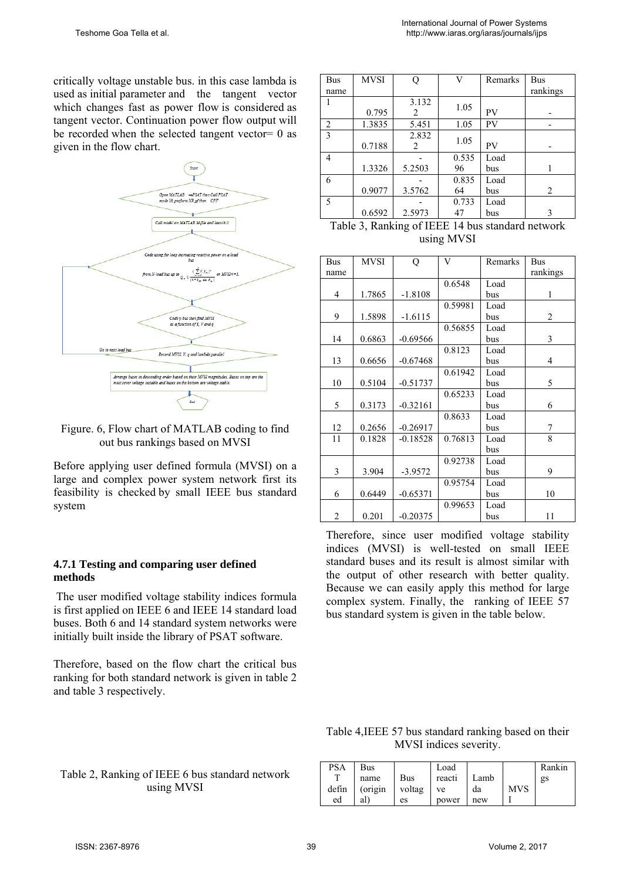critically voltage unstable bus. in this case lambda is used as initial parameter and the tangent vector which changes fast as power flow is considered as tangent vector. Continuation power flow output will be recorded when the selected tangent vector= 0 as given in the flow chart.



Figure. 6, Flow chart of MATLAB coding to find out bus rankings based on MVSI

Before applying user defined formula (MVSI) on a large and complex power system network first its feasibility is checked by small IEEE bus standard system

#### **4.7.1 Testing and comparing user defined methods**

 The user modified voltage stability indices formula is first applied on IEEE 6 and IEEE 14 standard load buses. Both 6 and 14 standard system networks were initially built inside the library of PSAT software.

Therefore, based on the flow chart the critical bus ranking for both standard network is given in table 2 and table 3 respectively.

## Table 2, Ranking of IEEE 6 bus standard network using MVSI

| Bus            | <b>MVSI</b> | ∩      | V     | Remarks | <b>Bus</b> |
|----------------|-------------|--------|-------|---------|------------|
| name           |             |        |       |         | rankings   |
|                |             | 3.132  | 1.05  |         |            |
|                | 0.795       | 2      |       | PV      |            |
| $\overline{2}$ | 1.3835      | 5.451  | 1.05  | PV      |            |
| 3              |             | 2.832  | 1.05  |         |            |
|                | 0.7188      | 2      |       | PV      |            |
| $\overline{4}$ |             |        | 0.535 | Load    |            |
|                | 1.3326      | 5.2503 | 96    | bus     |            |
| 6              |             |        | 0.835 | Load    |            |
|                | 0.9077      | 3.5762 | 64    | bus     | 2          |
| 5              |             |        | 0.733 | Load    |            |
|                | 0.6592      | 2.5973 | 47    | bus     | 3          |

Table 3, Ranking of IEEE 14 bus standard network using MVSI

| Bus            | <b>MVSI</b> | Q          | V       | Remarks | <b>Bus</b>     |
|----------------|-------------|------------|---------|---------|----------------|
| name           |             |            |         |         | rankings       |
|                |             |            | 0.6548  | Load    |                |
| $\overline{4}$ | 1.7865      | $-1.8108$  |         | bus     | 1              |
|                |             |            | 0.59981 | Load    |                |
| 9              | 1.5898      | $-1.6115$  |         | bus     | $\overline{2}$ |
|                |             |            | 0.56855 | Load    |                |
| 14             | 0.6863      | $-0.69566$ |         | bus     | 3              |
|                |             |            | 0.8123  | Load    |                |
| 13             | 0.6656      | $-0.67468$ |         | bus     | 4              |
|                |             |            | 0.61942 | Load    |                |
| 10             | 0.5104      | $-0.51737$ |         | bus     | 5              |
|                |             |            | 0.65233 | Load    |                |
| 5              | 0.3173      | $-0.32161$ |         | bus     | 6              |
|                |             |            | 0.8633  | Load    |                |
| 12             | 0.2656      | $-0.26917$ |         | bus     | 7              |
| 11             | 0.1828      | $-0.18528$ | 0.76813 | Load    | 8              |
|                |             |            |         | bus     |                |
|                |             |            | 0.92738 | Load    |                |
| 3              | 3.904       | $-3.9572$  |         | bus     | 9              |
|                |             |            | 0.95754 | Load    |                |
| 6              | 0.6449      | $-0.65371$ |         | bus     | 10             |
|                |             |            | 0.99653 | Load    |                |
| $\overline{2}$ | 0.201       | $-0.20375$ |         | bus     | 11             |

Therefore, since user modified voltage stability indices (MVSI) is well-tested on small IEEE standard buses and its result is almost similar with the output of other research with better quality. Because we can easily apply this method for large complex system. Finally, the ranking of IEEE 57 bus standard system is given in the table below.

Table 4,IEEE 57 bus standard ranking based on their MVSI indices severity.

| <b>PSA</b> | Bus     |        | Load   |      |            | Rankin |
|------------|---------|--------|--------|------|------------|--------|
|            | name    | Bus    | reacti | Lamb |            | gs     |
| defin      | (origin | voltag | ve     | da   | <b>MVS</b> |        |
| ed         | al)     | es     | power  | new  |            |        |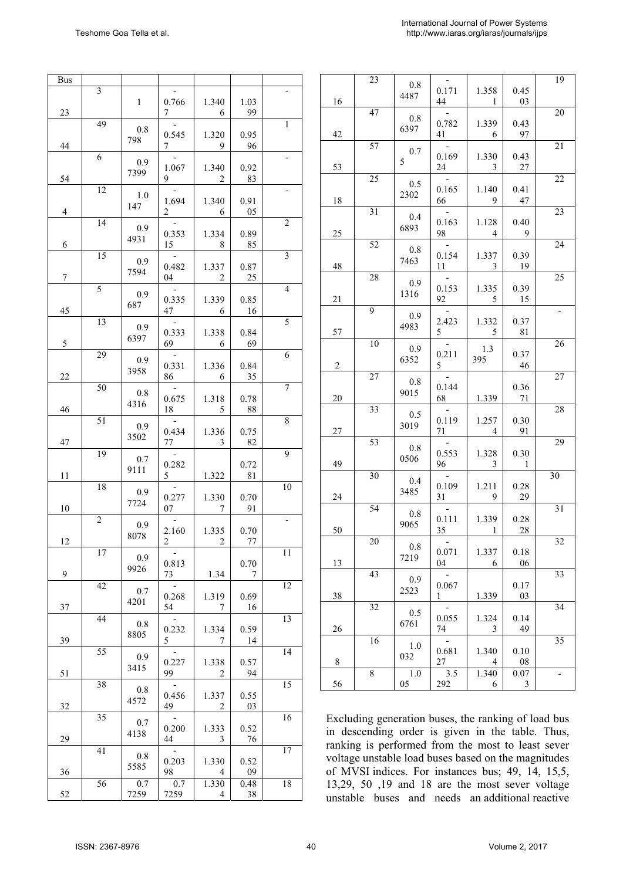| <b>Bus</b>       |                         |                     |                                            |                                     |                    |                          |
|------------------|-------------------------|---------------------|--------------------------------------------|-------------------------------------|--------------------|--------------------------|
| 23               | $\overline{\mathbf{3}}$ | $\mathbf{1}$        | 0.766<br>$7\degree$                        | 1.340<br>- 6                        | 1.03<br>- 99       |                          |
| 44               | 49                      | 0.8<br>798          | $\sim$ $ \sim$<br>0.545<br>$7\overline{ }$ | 1.320<br>$\overline{9}$             | 0.95<br>- 96       | 1                        |
| 54               | 6                       | 0.9<br>7399         | 1.067<br>$9 \quad \_$                      | 1.340<br>$\overline{\phantom{0}}$ 2 | 0.92<br>83         |                          |
| $\overline{4}$   | $\overline{12}$         | 1.0<br>147          | 1.694<br>$\overline{2}$                    | 1.340<br>$6\overline{6}$            | 0.91<br>- 05       | $\overline{\phantom{a}}$ |
| 6                | 14                      | 0.9<br>4931         | 0.353<br>15                                | 1.334<br>8 <sup>8</sup>             | 0.89<br>85         | $\overline{2}$           |
| $\boldsymbol{7}$ | 15                      | 0.9<br>7594         | 0.482<br>04                                | 1.337<br>$\overline{\phantom{a}}$   | 0.87<br>25         | 3                        |
| 45               | 5                       | 0.9<br>687          | $\sim$ $-$<br>0.335<br>47                  | 1.339<br>- 6                        | 0.85<br>- 16       | $\overline{4}$           |
| $\sqrt{5}$       | $\overline{13}$         | 0.9<br>6397         | 0.333<br>69                                | 1.338<br>$6\overline{6}$            | 0.84<br>- 69       | 5                        |
| 22               | 29                      | 0.9<br>3958         | 0.331<br>86                                | 1.336<br>6                          | 0.84<br>35         | 6                        |
| 46               | $\overline{50}$         | 0.8<br>4316         | 0.675<br>18                                | 1.318<br>$5\overline{)}$            | 0.78<br>- 88       | $\overline{7}$           |
| 47               | $\overline{51}$         | 0.9<br>3502         | $\sim$<br>0.434<br>77                      | 1.336<br>3                          | 0.75<br>- 82       | 8                        |
| 11               | 19                      | 0.7<br>9111         | 0.282<br>$5 \underline{\ }$                | 1.322                               | 0.72<br>- 81       | 9                        |
| 10               | 18                      | 0.9<br>7724         | $\sim$ $-$<br>0.277                        | 1.330<br>$\overline{7}$             | 0.70<br>91         | 10                       |
|                  | $\overline{c}$          | 0.9<br>8078         | 07<br>2.160                                | 1.335                               | 0.70               |                          |
| 12               | 17                      | 0.9<br>9926         | $\overline{2}$<br>0.813                    | $\overline{\phantom{a}}$            | 77<br>0.70         | 11                       |
| 9                | 42                      | 0.7<br>4201         | 73<br>0.268                                | 1.34<br>1.319                       | 7<br>0.69          | 12                       |
| 37               | 44                      | 0.8<br>8805         | 54<br>0.232                                | 7<br>1.334                          | 16<br>0.59         | 13                       |
| 39               | 55                      | 0.9<br>3415         | 5 <sup>5</sup><br>0.227                    | 7<br>1.338                          | 14<br>0.57         | 14                       |
| 51               | 38                      | 0.8<br>4572         | 99<br>0.456                                | 2<br>1.337                          | 94<br>0.55         | 15                       |
| 32               | 35                      | 0.7<br>4138         | 49<br>0.200                                | 2<br>1.333                          | 03<br>0.52         | 16                       |
| 29               | 41                      | 0.8                 | 44<br>0.203                                | 3<br>1.330                          | 76<br>0.52         | 17                       |
| 36<br>52         | 56                      | 5585<br>0.7<br>7259 | 98<br>0.7<br>7259                          | $\overline{4}$<br>1.330<br>4        | - 09<br>0.48<br>38 | 18                       |

| 16             | 23 | $0.8\,$<br>4487 | $\sim$ $\sim$<br>0.171<br>44            | 1.358<br>$\overline{\phantom{a}}$   | 0.45<br>03                       | 19                       |
|----------------|----|-----------------|-----------------------------------------|-------------------------------------|----------------------------------|--------------------------|
| 42             | 47 | 0.8<br>6397     | $\sim$ $\sim$<br>0.782<br>41            | 1.339<br>6                          | 0.43<br>- 97                     | 20                       |
| 53             | 57 | 0.7<br>5        | 0.169<br>24                             | 1.330<br>$\overline{\phantom{a}}$   | 0.43<br>27                       | 21                       |
| 18             | 25 | 0.5<br>2302     | 0.165<br>66                             | 1.140<br>$\overline{9}$             | 0.41<br>47                       | 22                       |
| 25             | 31 | 0.4<br>6893     | $\sim$<br>0.163<br>$98$ —               | 1.128<br>$\overline{4}$             | 0.40<br>$\overline{9}$           | 23                       |
| 48             | 52 | 0.8<br>7463     | 0.154<br>11                             | 1.337<br>$\overline{\phantom{a}}$   | 0.39<br>19                       | 24                       |
| 21             | 28 | 0.9<br>1316     | 0.153<br>92                             | 1.335<br>$\overline{5}$             | 0.39<br>15                       | 25                       |
| 57             | 9  | 0.9<br>4983     | 2.423<br>5                              | 1.332<br>$\overline{\phantom{0}}$ 5 | 0.37<br>81                       | $\overline{\phantom{a}}$ |
| $\overline{c}$ | 10 | 0.9<br>6352     | 0.211<br>5                              | 1.3<br>395                          | 0.37<br>- 46                     | 26                       |
| 20             | 27 | 0.8<br>9015     | 0.144<br>68                             | 1.339                               | 0.36<br>- 71                     | $\overline{27}$          |
| 27             | 33 | 0.5<br>3019     | $\sim$ $-$<br>0.119<br>$71$ $-$         | 1.257<br>$\overline{4}$             | 0.30<br>91                       | 28                       |
| 49             | 53 | 0.8<br>0506     | 0.553<br>96                             | 1.328<br>$\overline{\phantom{a}}$   | 0.30<br>$\overline{\phantom{0}}$ | 29                       |
| 24             | 30 | 0.4<br>3485     | 0.109<br>31                             | 1.211<br>9                          | 0.28<br>29                       | 30                       |
| 50             | 54 | $0.8\,$<br>9065 | 0.111<br>35                             | 1.339<br>-1                         | 0.28<br>- 28                     | 31                       |
| 13             | 20 | 0.8<br>7219     | $\overline{\phantom{0}}$<br>0.071<br>04 | 1.337<br>6                          | 0.18<br>06                       | $\overline{32}$          |
| 38             | 43 | 0.9<br>2523     | 0.067<br>$1 \quad$                      | 1.339                               | 0.17<br>03                       | 33                       |
| 26             | 32 | 0.5<br>6761     | 0.055<br>74                             | 1.324<br>3                          | 0.14<br>49                       | 34                       |
| 8              | 16 | 1.0<br>032      | 0.681<br>27                             | 1.340<br>4                          | 0.10<br>08                       | 35                       |
| 56             | 8  | 1.0<br>05       | 3.5<br>292                              | 1.340<br>6                          | 0.07<br>3                        |                          |

Excluding generation buses, the ranking of load bus in descending order is given in the table. Thus, ranking is performed from the most to least sever voltage unstable load buses based on the magnitudes of MVSI indices. For instances bus; 49, 14, 15,5, 13,29, 50 ,19 and 18 are the most sever voltage unstable buses and needs an additional reactive